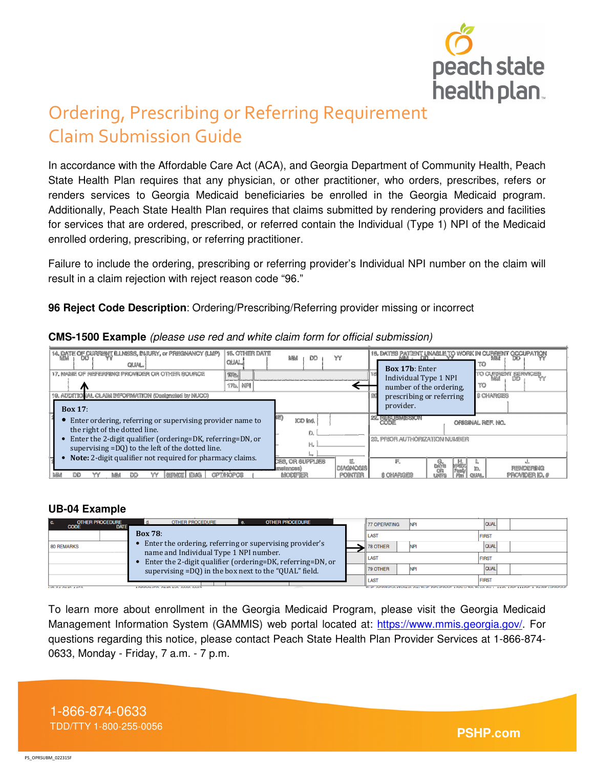

# Ordering, Prescribing or Referring Requirement Claim Submission Guide

In accordance with the Affordable Care Act (ACA), and Georgia Department of Community Health, Peach State Health Plan requires that any physician, or other practitioner, who orders, prescribes, refers or renders services to Georgia Medicaid beneficiaries be enrolled in the Georgia Medicaid program. Additionally, Peach State Health Plan requires that claims submitted by rendering providers and facilities for services that are ordered, prescribed, or referred contain the Individual (Type 1) NPI of the Medicaid enrolled ordering, prescribing, or referring practitioner.

Failure to include the ordering, prescribing or referring provider's Individual NPI number on the claim will result in a claim rejection with reject reason code "96."

**96 Reject Code Description**: Ordering/Prescribing/Referring provider missing or incorrect

| 14. DATE OF CURRENT ILLNESS, INJURY, or PREGNANCY (LMP)<br><b>CILIAL</b><br>17. NAME OF PEFERFING PROVIDER OR OTHER SOURCE                                                                                                                                                | 16. OTHER DATE<br><b>CILIAL</b><br>222 | 為健者<br>œ                                               | YY                                  | <b>Box 17b: Enter</b><br>Individual Type 1 NPI                   | 10. DATEG PATENT UNABLE TO WORK IN OURRENT OGCUPATION<br>TO<br>TO CURRENT SERVICES |
|---------------------------------------------------------------------------------------------------------------------------------------------------------------------------------------------------------------------------------------------------------------------------|----------------------------------------|--------------------------------------------------------|-------------------------------------|------------------------------------------------------------------|------------------------------------------------------------------------------------|
| 19. ADDITIONAL CLAIM INFORMATION (Designated by NUCC)<br>Box 17:                                                                                                                                                                                                          | <b>17b.</b> NFM                        |                                                        |                                     | number of the ordering,<br>prescribing or referring<br>provider. | TO<br><b>S CHARGES</b>                                                             |
| Enter ordering, referring or supervising provider name to<br>the right of the dotted line.<br>Enter the 2-digit qualifier (ordering=DK, referring=DN, or<br>supervising =DQ) to the left of the dotted line.<br>Note: 2-digit qualifier not required for pharmacy claims. |                                        | ICO Ind.                                               |                                     | <b>33 REPARATION</b><br>23. PRIOR AUTHORIZATION NUMBER           | ORIGINAL REF. NO.                                                                  |
| EMA<br>m<br>1282<br><b>BARATI</b><br>色绿点                                                                                                                                                                                                                                  | CPTACPOR                               | CES. OR SUPPLIES<br>minism<br><b>Add 16 Mike Beach</b> | <b>IDIAGNOSIS</b><br><b>POINTER</b> | ₽.<br><b>A CHARGES</b>                                           | PEMPERING<br>PROMOSAIO A<br>439 881                                                |

**CMS-1500 Example** (please use red and white claim form for official submission)

# **UB-04 Example**

| <b>OTHER PROCEDURE</b><br>C.<br><b>CODE</b><br><b>DATE</b> | <b>OTHER PROCEDURE</b><br><b>OTHER PROCEDURE</b><br>d.                                                                                                                                                                   |  | <b>77 OPERATING</b>                                                                                      | <b>INP</b> | <b>QUAL</b>  |
|------------------------------------------------------------|--------------------------------------------------------------------------------------------------------------------------------------------------------------------------------------------------------------------------|--|----------------------------------------------------------------------------------------------------------|------------|--------------|
|                                                            | <b>Box 78:</b>                                                                                                                                                                                                           |  | <b>ILAST</b>                                                                                             |            | <b>FIRST</b> |
| 80 REMARKS                                                 | Enter the ordering, referring or supervising provider's<br>name and Individual Type 1 NPI number.<br>Enter the 2-digit qualifier (ordering=DK, referring=DN, or<br>supervising =DQ) in the box next to the "QUAL" field. |  | <b>78 OTHER</b>                                                                                          | <b>NP</b>  | <b>QUAL</b>  |
|                                                            |                                                                                                                                                                                                                          |  | II LAST                                                                                                  |            | <b>FIRST</b> |
|                                                            |                                                                                                                                                                                                                          |  | 79 OTHER                                                                                                 | <b>NP</b>  | <b>QUAL</b>  |
| <b>LIP AT ALLA TIPA</b>                                    |                                                                                                                                                                                                                          |  | <b>FIRST</b><br><b>II LAST</b><br>THE ACCURACIONAL ALLENCE BENEBAC LOOKIEA THA BULLION LOCALIZE LOUTENEA |            |              |

To learn more about enrollment in the Georgia Medicaid Program, please visit the Georgia Medicaid Management Information System (GAMMIS) web portal located at: https://www.mmis.georgia.gov/. For questions regarding this notice, please contact Peach State Health Plan Provider Services at 1-866-874- 0633, Monday - Friday, 7 a.m. - 7 p.m.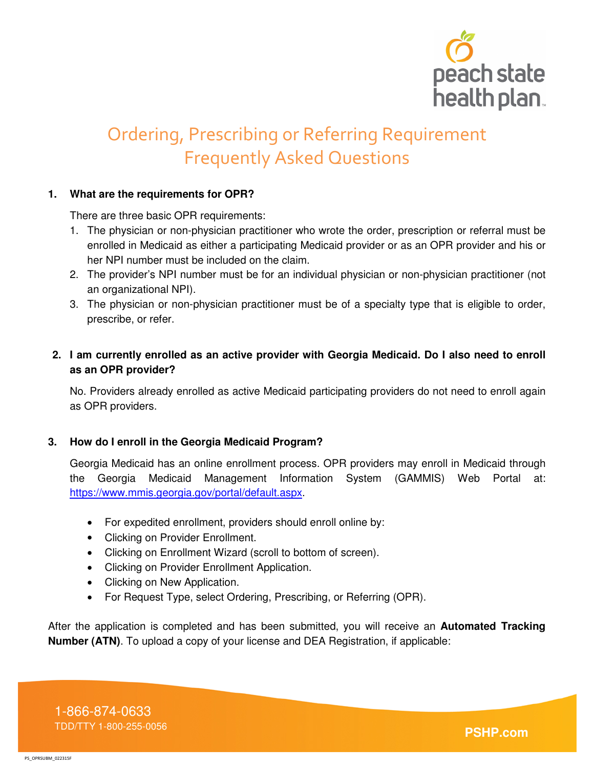

# Ordering, Prescribing or Referring Requirement Frequently Asked Questions

#### **1. What are the requirements for OPR?**

There are three basic OPR requirements:

- 1. The physician or non-physician practitioner who wrote the order, prescription or referral must be enrolled in Medicaid as either a participating Medicaid provider or as an OPR provider and his or her NPI number must be included on the claim.
- 2. The provider's NPI number must be for an individual physician or non-physician practitioner (not an organizational NPI).
- 3. The physician or non-physician practitioner must be of a specialty type that is eligible to order, prescribe, or refer.

# **2. I am currently enrolled as an active provider with Georgia Medicaid. Do I also need to enroll as an OPR provider?**

No. Providers already enrolled as active Medicaid participating providers do not need to enroll again as OPR providers.

# **3. How do I enroll in the Georgia Medicaid Program?**

Georgia Medicaid has an online enrollment process. OPR providers may enroll in Medicaid through the Georgia Medicaid Management Information System (GAMMIS) Web Portal at: https://www.mmis.georgia.gov/portal/default.aspx.

- For expedited enrollment, providers should enroll online by:
- Clicking on Provider Enrollment.
- Clicking on Enrollment Wizard (scroll to bottom of screen).
- Clicking on Provider Enrollment Application.
- Clicking on New Application.
- For Request Type, select Ordering, Prescribing, or Referring (OPR).

After the application is completed and has been submitted, you will receive an **Automated Tracking Number (ATN)**. To upload a copy of your license and DEA Registration, if applicable: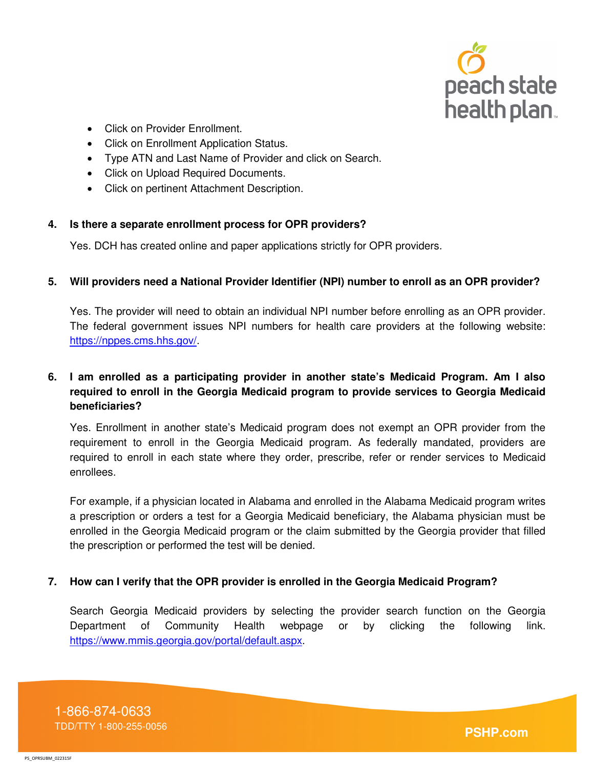

- Click on Provider Enrollment.
- Click on Enrollment Application Status.
- Type ATN and Last Name of Provider and click on Search.
- Click on Upload Required Documents.
- Click on pertinent Attachment Description.

#### **4. Is there a separate enrollment process for OPR providers?**

Yes. DCH has created online and paper applications strictly for OPR providers.

#### **5. Will providers need a National Provider Identifier (NPI) number to enroll as an OPR provider?**

Yes. The provider will need to obtain an individual NPI number before enrolling as an OPR provider. The federal government issues NPI numbers for health care providers at the following website: https://nppes.cms.hhs.gov/.

# **6. I am enrolled as a participating provider in another state's Medicaid Program. Am I also required to enroll in the Georgia Medicaid program to provide services to Georgia Medicaid beneficiaries?**

Yes. Enrollment in another state's Medicaid program does not exempt an OPR provider from the requirement to enroll in the Georgia Medicaid program. As federally mandated, providers are required to enroll in each state where they order, prescribe, refer or render services to Medicaid enrollees.

For example, if a physician located in Alabama and enrolled in the Alabama Medicaid program writes a prescription or orders a test for a Georgia Medicaid beneficiary, the Alabama physician must be enrolled in the Georgia Medicaid program or the claim submitted by the Georgia provider that filled the prescription or performed the test will be denied.

#### **7. How can I verify that the OPR provider is enrolled in the Georgia Medicaid Program?**

Search Georgia Medicaid providers by selecting the provider search function on the Georgia Department of Community Health webpage or by clicking the following link. https://www.mmis.georgia.gov/portal/default.aspx.